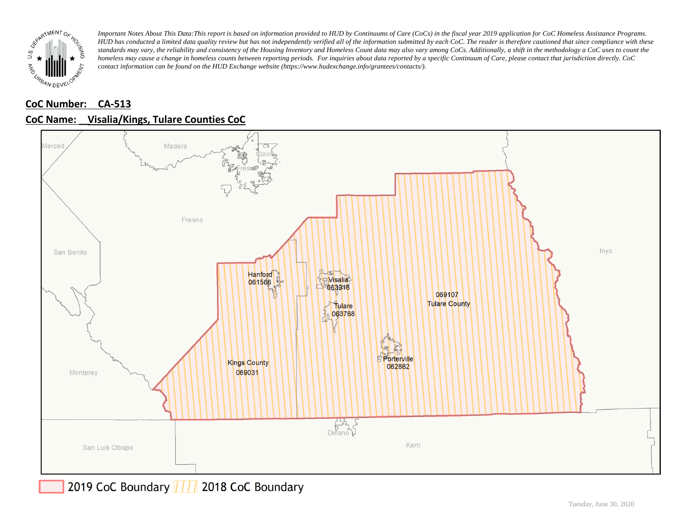

# **CoC Number: CA-513 CoC Name: \_\_ Visalia/Kings, Tulare Counties CoC**



# 2019 CoC Boundary | | | 2018 CoC Boundary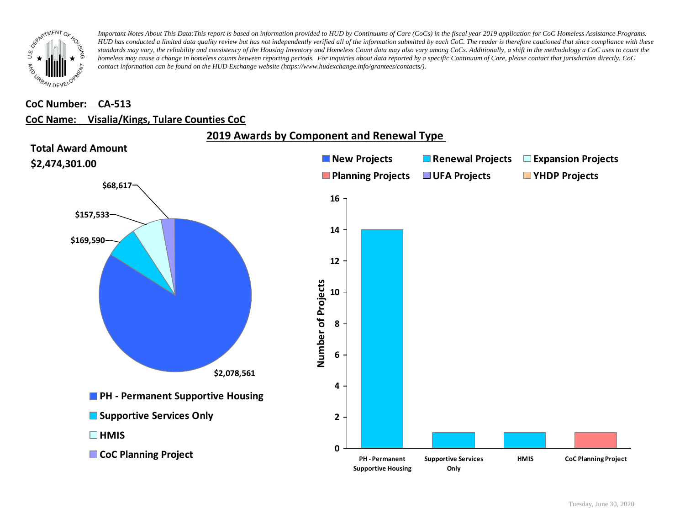

#### **CoC Number: CA-513**

### **CoC Name: \_\_ Visalia/Kings, Tulare Counties CoC**

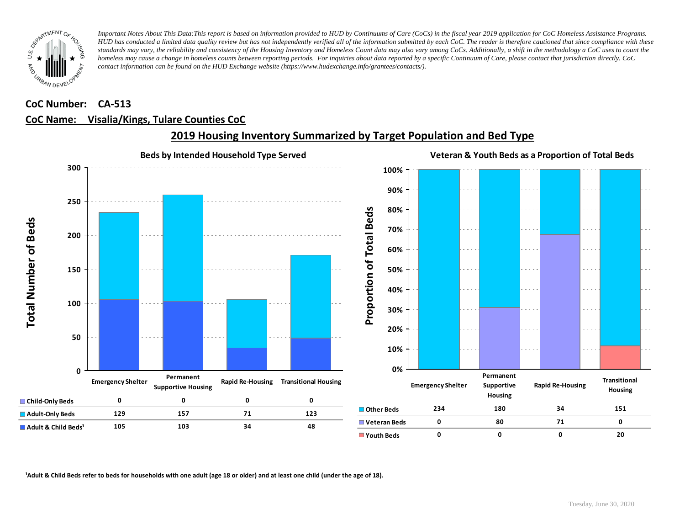

#### **CoC Number: CA-513**

#### **CoC Name: \_\_ Visalia/Kings, Tulare Counties CoC**



# **2019 Housing Inventory Summarized by Target Population and Bed Type**

<sup>1</sup> Adult & Child Beds refer to beds for households with one adult (age 18 or older) and at least one child (under the age of 18).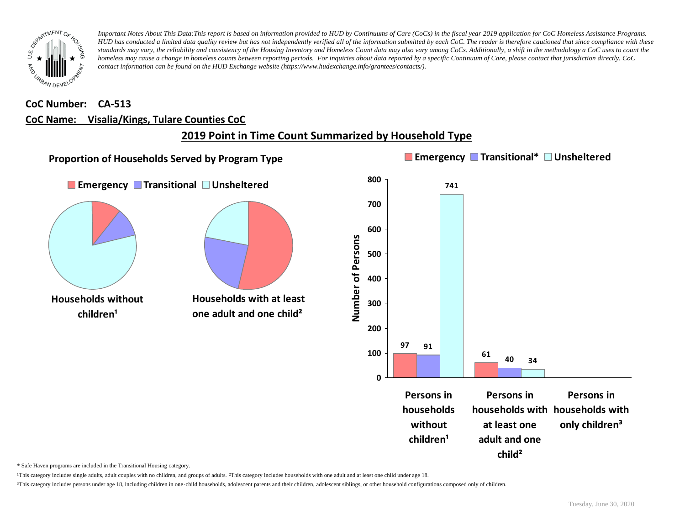

#### **CoC Number: CA-513**

#### **CoC Name: \_\_ Visalia/Kings, Tulare Counties CoC**

# **2019 Point in Time Count Summarized by Household Type**



\* Safe Haven programs are included in the Transitional Housing category.

¹This category includes single adults, adult couples with no children, and groups of adults. ²This category includes households with one adult and at least one child under age 18.

³This category includes persons under age 18, including children in one-child households, adolescent parents and their children, adolescent siblings, or other household configurations composed only of children.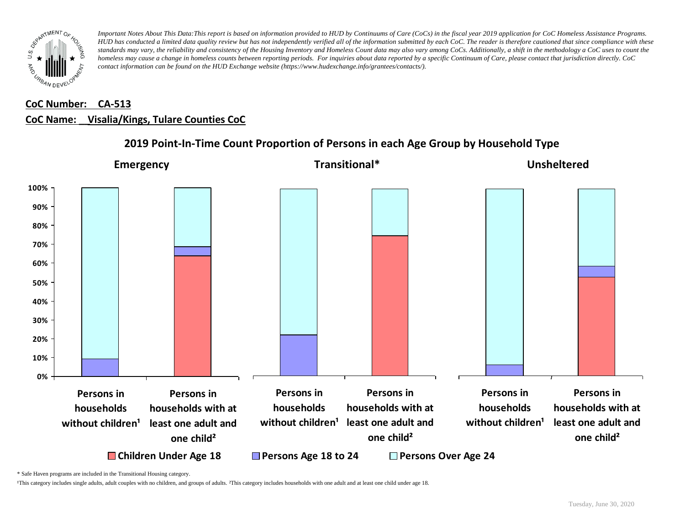

# **CoC Number: CA-513 CoC Name: \_\_ Visalia/Kings, Tulare Counties CoC**



# **2019 Point-In-Time Count Proportion of Persons in each Age Group by Household Type**

\* Safe Haven programs are included in the Transitional Housing category.

¹This category includes single adults, adult couples with no children, and groups of adults. ²This category includes households with one adult and at least one child under age 18.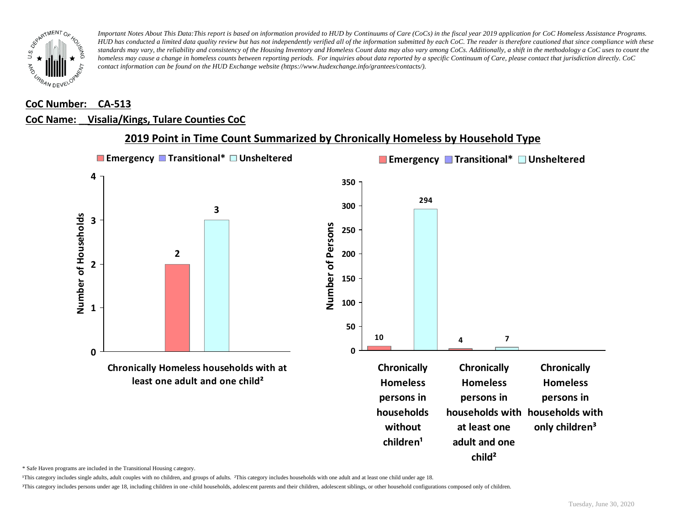

#### **CoC Number: CA-513**

#### **CoC Name: \_\_ Visalia/Kings, Tulare Counties CoC**



### **2019 Point in Time Count Summarized by Chronically Homeless by Household Type**

\* Safe Haven programs are included in the Transitional Housing category.

¹This category includes single adults, adult couples with no children, and groups of adults. ²This category includes households with one adult and at least one child under age 18.

³This category includes persons under age 18, including children in one -child households, adolescent parents and their children, adolescent siblings, or other household configurations composed only of children.